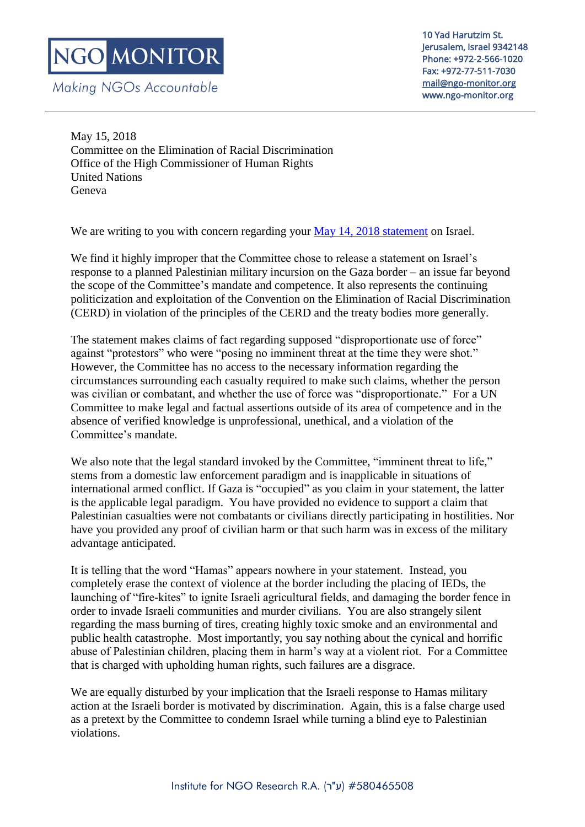Making NGOs Accountable

10 Yad Harutzim St. Jerusalem, Israel 9342148 Phone: +972-2-566-1020 Fax: +972-77-511-7030 [mail@ngo-monitor.org](mailto:mail@ngo-monitor.org)  www.ngo-monitor.org

May 15, 2018 Committee on the Elimination of Racial Discrimination Office of the High Commissioner of Human Rights United Nations Geneva

We are writing to you with concern regarding your [May 14, 2018 statement](http://www.ohchr.org/EN/NewsEvents/Pages/DisplayNews.aspx?NewsID=23082&LangID=E) on Israel.

We find it highly improper that the Committee chose to release a statement on Israel's response to a planned Palestinian military incursion on the Gaza border – an issue far beyond the scope of the Committee's mandate and competence. It also represents the continuing politicization and exploitation of the Convention on the Elimination of Racial Discrimination (CERD) in violation of the principles of the CERD and the treaty bodies more generally.

The statement makes claims of fact regarding supposed "disproportionate use of force" against "protestors" who were "posing no imminent threat at the time they were shot." However, the Committee has no access to the necessary information regarding the circumstances surrounding each casualty required to make such claims, whether the person was civilian or combatant, and whether the use of force was "disproportionate." For a UN Committee to make legal and factual assertions outside of its area of competence and in the absence of verified knowledge is unprofessional, unethical, and a violation of the Committee's mandate.

We also note that the legal standard invoked by the Committee, "imminent threat to life," stems from a domestic law enforcement paradigm and is inapplicable in situations of international armed conflict. If Gaza is "occupied" as you claim in your statement, the latter is the applicable legal paradigm. You have provided no evidence to support a claim that Palestinian casualties were not combatants or civilians directly participating in hostilities. Nor have you provided any proof of civilian harm or that such harm was in excess of the military advantage anticipated.

It is telling that the word "Hamas" appears nowhere in your statement. Instead, you completely erase the context of violence at the border including the placing of IEDs, the launching of "fire-kites" to ignite Israeli agricultural fields, and damaging the border fence in order to invade Israeli communities and murder civilians. You are also strangely silent regarding the mass burning of tires, creating highly toxic smoke and an environmental and public health catastrophe. Most importantly, you say nothing about the cynical and horrific abuse of Palestinian children, placing them in harm's way at a violent riot. For a Committee that is charged with upholding human rights, such failures are a disgrace.

We are equally disturbed by your implication that the Israeli response to Hamas military action at the Israeli border is motivated by discrimination. Again, this is a false charge used as a pretext by the Committee to condemn Israel while turning a blind eye to Palestinian violations.